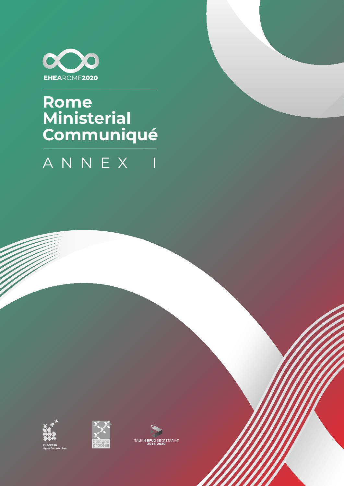

## **Rome Ministerial<br>Communiqué**

## ANNEX  $\overline{\mathbf{I}}$





**ITALIAN BFUG SECRETARIAT**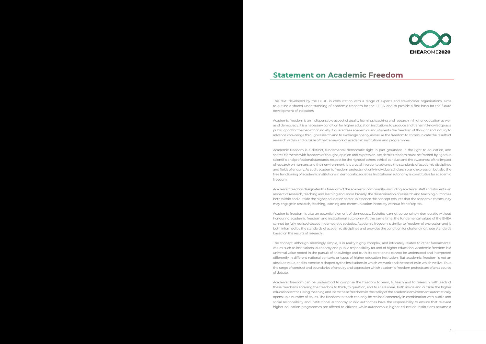This text, developed by the BFUG in consultation with a range of experts and stakeholder organisations, aims to outline a shared understanding of academic freedom for the EHEA, and to provide a first basis for the future development of indicators.

Academic freedom is an indispensable aspect of quality learning, teaching and research in higher education as well as of democracy. It is a necessary condition for higher education institutions to produce and transmit knowledge as a public good for the benefit of society. It guarantees academics and students the freedom of thought and inquiry to advance knowledge through research and to exchange openly, as well as the freedom to communicate the results of research within and outside of the framework of academic institutions and programmes.

Academic freedom is a distinct, fundamental democratic right in part grounded in the right to education, and shares elements with freedom of thought, opinion and expression. Academic freedom must be framed by rigorous scientific and professional standards, respect for the rights of others, ethical conduct and the awareness of the impact of research on humans and their environment. It is crucial in order to advance the standards of academic disciplines and fields of enquiry. As such, academic freedom protects not only individual scholarship and expression but also the free functioning of academic institutions in democratic societies. Institutional autonomy is constitutive for academic freedom.

Academic freedom designates the freedom of the academic community - including academic staff and students - in respect of research, teaching and learning and, more broadly, the dissemination of research and teaching outcomes both within and outside the higher education sector. In essence the concept ensures that the academic community may engage in research, teaching, learning and communication in society without fear of reprisal.

Academic freedom is also an essential element of democracy. Societies cannot be genuinely democratic without honouring academic freedom and institutional autonomy. At the same time, the fundamental values of the EHEA cannot be fully realised except in democratic societies. Academic freedom is similar to freedom of expression and is both informed by the standards of academic disciplines and provides the condition for challenging these standards based on the results of research.

The concept, although seemingly simple, is in reality highly complex, and intricately related to other fundamental values such as institutional autonomy and public responsibility for and of higher education. Academic freedom is a universal value rooted in the pursuit of knowledge and truth. Its core tenets cannot be understood and interpreted differently in different national contexts or types of higher education institution. But academic freedom is not an absolute value, and its exercise is shaped by the institutions in which we work and the societies in which we live. Thus the range of conduct and boundaries of enquiry and expression which academic freedom protects are often a source of debate.

Academic freedom can be understood to comprise the freedom to learn, to teach and to research, with each of these freedoms entailing the freedom to think, to question, and to share ideas, both inside and outside the higher education sector. Giving meaning and life to these freedoms in the reality of the academic environment automatically opens up a number of issues. The freedom to teach can only be realised concretely in combination with public and social responsibility and institutional autonomy. Public authorities have the responsibility to ensure that relevant higher education programmes are offered to citizens, while autonomous higher education institutions assume a



## **Statement on Academic Freedom**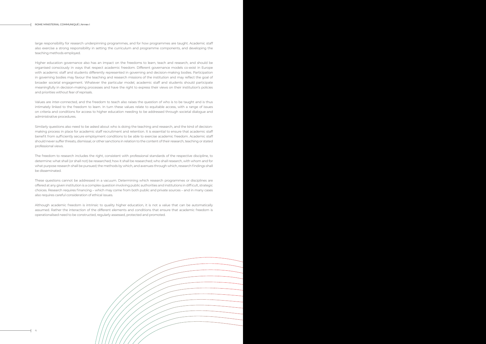large responsibility for research underpinning programmes, and for how programmes are taught. Academic staff also exercise a strong responsibility in setting the curriculum and programme components, and developing the teaching methods employed.

Higher education governance also has an impact on the freedoms to learn, teach and research, and should be organised consciously in ways that respect academic freedom. Different governance models co-exist in Europe with academic staff and students differently represented in governing and decision-making bodies. Participation in governing bodies may favour the teaching and research missions of the institution and may reflect the goal of broader societal engagement. Whatever the particular model, academic staff and students should participate meaningfully in decision-making processes and have the right to express their views on their institution's policies and priorities without fear of reprisals.

Values are inter-connected, and the freedom to teach also raises the question of who is to be taught and is thus intimately linked to the freedom to learn. In turn these values relate to equitable access, with a range of issues on criteria and conditions for access to higher education needing to be addressed through societal dialogue and administrative procedures.

Similarly questions also need to be asked about who is doing the teaching and research, and the kind of decisionmaking process in place for academic staff recruitment and retention. It is essential to ensure that academic staff benefit from sufficiently secure employment conditions to be able to exercise academic freedom. Academic staff should never suffer threats, dismissal, or other sanctions in relation to the content of their research, teaching or stated professional views.

The freedom to research includes the right, consistent with professional standards of the respective discipline, to determine: what shall (or shall not) be researched; how it shall be researched; who shall research, with whom and for what purpose research shall be pursued; the methods by which, and avenues through which, research findings shall be disseminated.

These questions cannot be addressed in a vacuum. Determining which research programmes or disciplines are offered at any given institution is a complex question involving public authorities and institutions in difficult, strategic choices. Research requires financing – which may come from both public and private sources – and in many cases also requires careful consideration of ethical issues.

Although academic freedom is intrinsic to quality higher education, it is not a value that can be automatically assumed. Rather the interaction of the different elements and conditions that ensure that academic freedom is operationalised need to be constructed, regularly assessed, protected and promoted.